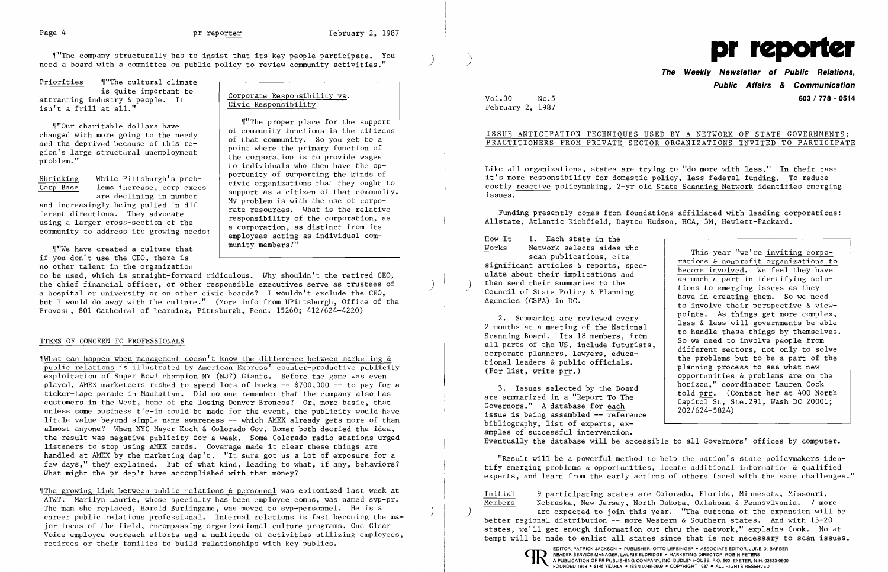~1"The company structurally has to insist that its key people participate. You ) need a board with a committee on public policy to review connnunity activities."

Priorities  $\frac{N}{N}$  The cultural climate<br>is quite important to is quite important to  $\begin{array}{c|c} \text{is a function of } \mathbf{r} \text{ is a function of } \mathbf{r} \text{ is a function of } \mathbf{r} \text{ is a function of } \mathbf{r} \text{ is a function of } \mathbf{r} \text{ is a function of } \mathbf{r} \text{ is a function of } \mathbf{r} \text{ is a function of } \mathbf{r} \text{ is a function of } \mathbf{r} \text{ is a function of } \mathbf{r} \text{ is a function of } \mathbf{r} \text{ is a function of } \mathbf{r} \text{ is a function of } \mathbf{r} \text{ is a function of$ 

"Our charitable dollars have<br>
changed with more going to the needy<br>
and the deprived because of this re-<br>
gion's large structural unemployment<br>
problem."<br>
and the deprived because of this re-<br>
problem."<br>
and the corporatio

"We have created a culture that if you don't use the CEO, there is no other talent in the organization

What can happen when management doesn't know the difference between marketing  $\&$ public relations is illustrated by American Express' counter-productive publicity exploitation of Super Bowl champion NY (NJ?) Giants. Before the game was even played, AMEX marketeers rushed to spend lots of bucks -- \$700,000 -- to pay for a ticker-tape parade in Manhattan. Did no one remember that the company also has customers in the West, home of the losing Denver Broncos? Or, more basic, that unless some business tie-in could be made for the event, the publicity would have little value beyond simple name awareness -- which AMEX already gets more of than almost anyone? When NYC Mayor Koch & Colorado Gov. Romer both decried the idea, the result was negative publicity for a week. Some Colorado radio stations urged listeners to stop using AMEX cards. Coverage made it clear these things are handled at AMEX by the marketing dep't. "It sure got us a lot of exposure for a few days," they explained. But of what kind, leading to what, if any, behaviors? What might the pr dep't have accomplished with that money?

to be used, which is straight-forward ridiculous. Why shouldn't the retired CEO, the chief financial officer, or other responsible executives serve as trustees of ) a hospital or university or on other civic boards? I wouldn't exclude the CEO, but I would do away with the culture." (More info from UPittsburgh, Office of the Provost, 801 Cathedral of Learning, Pittsburgh, Penn. 15260; 412/624-4220)

### ITEMS OF CONCERN TO PROFESSIONALS

3. Issues selected by the Board horizon," coordinator Lauren Cook told prr. (Contact her at 400 North capitol St, Ste. 291, Wash DC 20001; Governors." A  $\frac{database}{area}$  for each  $202/624-5824$  issue is being assembled  $-$  reference bibliography, list of experts, examples of successful intervention. Eventually the database will be accessible to all Governors' offices by computer.

~IThe growing link between public relations & personnel was epitomized last week at AT&T. Marilyn Laurie, whose specialty has been employee comns, was named svp-pr. The man she replaced, Harold Burlingame, was moved to svp-personnel. He is a ) career public relations professional. Internal relations is fast becoming the major focus of the field, encompassing organizational culture programs, One Clear Voice employee outreach efforts and a multitude of activities utilizing employees, retirees or their families to build relationships with key publics.



# **The Weekly Newsletter of Public Relations, Public Affairs** *&* **Communication**  Vol.30 No.5 **603 / 778 - 0514**

to involve their perspective & view-<br>points. As things get more complex, 2. Summaries are reviewed every less & less will governments be able<br>2 months at a meeting of the National less & less will governments be able<br>2 months at a meeting of the National less & less will governments be able<br>2 t Example of the National contract to handle these things by themselves.<br>
Scanning Board. Its 18 members, from<br>
all parts of the US, include futurists,<br>
corporate planners, lawyers, educa-<br>
tional leaders & public officials.

February 2, 1987

# ISSUE ANTICIPATION TECHNIQUES USED BY A NETWORK OF STATE GOVERNMENTS; PRACTITIONERS FROM PRIVATE SECTOR ORGANIZATIONS INVITED TO PARTICIPATE

Like all organizations, states are trying to "do more with less." In their case it's more responsibility for domestic policy, less federal funding. To reduce costly reactive policymaking, 2-yr old State Scanning Network identifies emerging issues.

Funding presently comes from foundations affiliated with leading corporations: Allstate, Atlantic Richfield, Dayton Hudson, HCA, 3M, Hewlett-Packard.

 $\frac{\text{How It}}{\text{Works}}$ 1. Each state in the Network selects aides who This year "we're inviting corpo-<br>scan publications, cite<br>significant articles & reports, spec-<br>ulate about their implications and<br>then send their summaries to the<br>as much a part in identifying soluchen send their summaries to the ) tions to emerging issues as they<br>
Council of State Policy & Planning have in creating them. So we need<br>
Agencies (CSPA) in DC.

"Result will be a powerful method to help the nation's state policymakers identify emerging problems & opportunities, locate additional information & qualified experts, and learn from the early actions of others faced with the same challenges."

Initial 9 participating states are Colorado, Florida, Minnesota, Missouri, Members Nebraska, New Jersey, North Dakota, Oklahoma & Pennsylvania. 7 more ) are expected to join this year. "The outcome of the expansion will be better regional distribution -- more Western & Southern states. And with 15-20 states, we'll get enough information out thru the network," explains Cook. No attempt will be made to enlist all states since that is not necessary to scan issues.

READER SERVICE MANAGER. LAURIE ELDRIDGE' MARKETING DIRECTOR. ROBIN PETERS

to individuals who then have the op-<br>portunity of supporting the kinds of Shrinking<br>
Corp Base lems increase, corp execs<br>
are declining in number<br>
and increasingly being pulled in dif-<br>
ferent directions. They advocate<br>
using a larger cross-section of the<br>
section of the<br>
section of the<br>
section and the corporations. They auvocate<br>using a larger cross-section of the employees acting as distinct from its<br>community to address its growing needs:<br>munity members?"